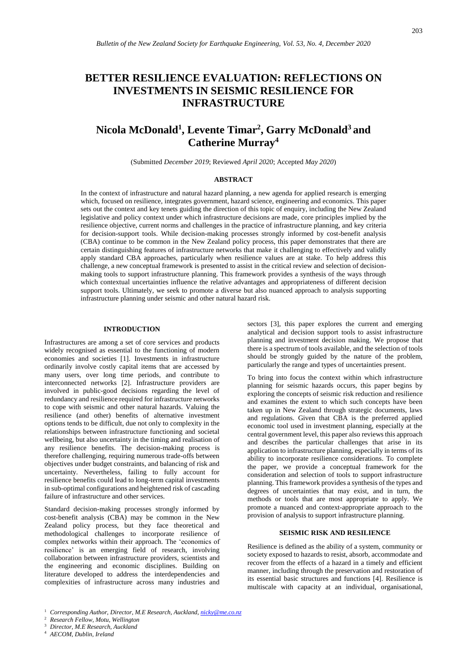# **BETTER RESILIENCE EVALUATION: REFLECTIONS ON INVESTMENTS IN SEISMIC RESILIENCE FOR INFRASTRUCTURE**

# **Nicola McDonald<sup>1</sup> , Levente Timar<sup>2</sup> , Garry McDonald<sup>3</sup> and Catherine Murray<sup>4</sup>**

(Submitted *December 2019*; Reviewed *April 2020*; Accepted *May 2020*)

#### **ABSTRACT**

In the context of infrastructure and natural hazard planning, a new agenda for applied research is emerging which, focused on resilience, integrates government, hazard science, engineering and economics. This paper sets out the context and key tenets guiding the direction of this topic of enquiry, including the New Zealand legislative and policy context under which infrastructure decisions are made, core principles implied by the resilience objective, current norms and challenges in the practice of infrastructure planning, and key criteria for decision-support tools. While decision-making processes strongly informed by cost-benefit analysis (CBA) continue to be common in the New Zealand policy process, this paper demonstrates that there are certain distinguishing features of infrastructure networks that make it challenging to effectively and validly apply standard CBA approaches, particularly when resilience values are at stake. To help address this challenge, a new conceptual framework is presented to assist in the critical review and selection of decisionmaking tools to support infrastructure planning. This framework provides a synthesis of the ways through which contextual uncertainties influence the relative advantages and appropriateness of different decision support tools. Ultimately, we seek to promote a diverse but also nuanced approach to analysis supporting infrastructure planning under seismic and other natural hazard risk.

#### **INTRODUCTION**

Infrastructures are among a set of core services and products widely recognised as essential to the functioning of modern economies and societies [1]. Investments in infrastructure ordinarily involve costly capital items that are accessed by many users, over long time periods, and contribute to interconnected networks [2]. Infrastructure providers are involved in public-good decisions regarding the level of redundancy and resilience required for infrastructure networks to cope with seismic and other natural hazards. Valuing the resilience (and other) benefits of alternative investment options tends to be difficult, due not only to complexity in the relationships between infrastructure functioning and societal wellbeing, but also uncertainty in the timing and realisation of any resilience benefits. The decision-making process is therefore challenging, requiring numerous trade-offs between objectives under budget constraints, and balancing of risk and uncertainty. Nevertheless, failing to fully account for resilience benefits could lead to long-term capital investments in sub-optimal configurations and heightened risk of cascading failure of infrastructure and other services.

Standard decision-making processes strongly informed by cost-benefit analysis (CBA) may be common in the New Zealand policy process, but they face theoretical and methodological challenges to incorporate resilience of complex networks within their approach. The 'economics of resilience' is an emerging field of research, involving collaboration between infrastructure providers, scientists and the engineering and economic disciplines. Building on literature developed to address the interdependencies and complexities of infrastructure across many industries and

sectors [3], this paper explores the current and emerging analytical and decision support tools to assist infrastructure planning and investment decision making. We propose that there is a spectrum of tools available, and the selection of tools should be strongly guided by the nature of the problem, particularly the range and types of uncertainties present.

To bring into focus the context within which infrastructure planning for seismic hazards occurs, this paper begins by exploring the concepts of seismic risk reduction and resilience and examines the extent to which such concepts have been taken up in New Zealand through strategic documents, laws and regulations. Given that CBA is the preferred applied economic tool used in investment planning, especially at the central government level, this paper also reviews this approach and describes the particular challenges that arise in its application to infrastructure planning, especially in terms of its ability to incorporate resilience considerations. To complete the paper, we provide a conceptual framework for the consideration and selection of tools to support infrastructure planning. This framework provides a synthesis of the types and degrees of uncertainties that may exist, and in turn, the methods or tools that are most appropriate to apply. We promote a nuanced and context-appropriate approach to the provision of analysis to support infrastructure planning.

#### **SEISMIC RISK AND RESILIENCE**

Resilience is defined as the ability of a system, community or society exposed to hazards to resist, absorb, accommodate and recover from the effects of a hazard in a timely and efficient manner, including through the preservation and restoration of its essential basic structures and functions [4]. Resilience is multiscale with capacity at an individual, organisational,

<sup>2</sup> *Research Fellow, Motu, Wellington*

<sup>4</sup> *AECOM, Dublin, Ireland*

<sup>1</sup> *Corresponding Author, Director, M.E Research, Auckland[, nicky@me.co.nz](mailto:nicky@me.co.nz)*

<sup>3</sup> *Director, M.E Research, Auckland*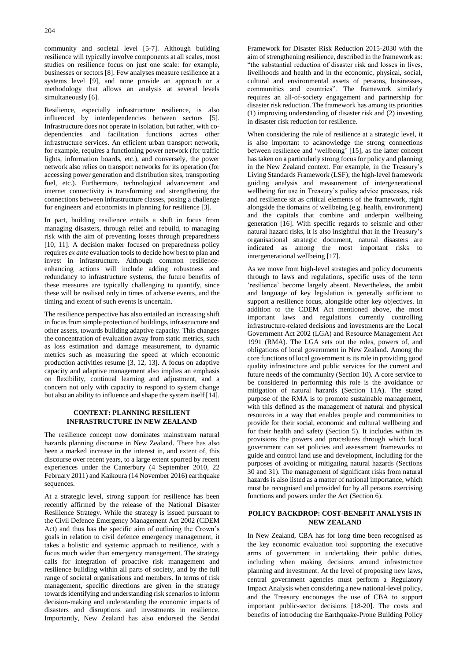community and societal level [5-7]. Although building resilience will typically involve components at all scales, most studies on resilience focus on just one scale: for example, businesses or sectors [8]. Few analyses measure resilience at a systems level [9], and none provide an approach or a methodology that allows an analysis at several levels simultaneously [6].

Resilience, especially infrastructure resilience, is also influenced by interdependencies between sectors [5]. Infrastructure does not operate in isolation, but rather, with codependencies and facilitation functions across other infrastructure services. An efficient urban transport network, for example, requires a functioning power network (for traffic lights, information boards, etc.), and conversely, the power network also relies on transport networks for its operation (for accessing power generation and distribution sites, transporting fuel, etc.). Furthermore, technological advancement and internet connectivity is transforming and strengthening the connections between infrastructure classes, posing a challenge for engineers and economists in planning for resilience [3].

In part, building resilience entails a shift in focus from managing disasters, through relief and rebuild, to managing risk with the aim of preventing losses through preparedness [10, 11]. A decision maker focused on preparedness policy requires *ex ante* evaluation tools to decide how best to plan and invest in infrastructure. Although common resilienceenhancing actions will include adding robustness and redundancy to infrastructure systems, the future benefits of these measures are typically challenging to quantify, since these will be realised only in times of adverse events, and the timing and extent of such events is uncertain.

The resilience perspective has also entailed an increasing shift in focus from simple protection of buildings, infrastructure and other assets, towards building adaptive capacity. This changes the concentration of evaluation away from static metrics, such as loss estimation and damage measurement, to dynamic metrics such as measuring the speed at which economic production activities resume [3, 12, 13]. A focus on adaptive capacity and adaptive management also implies an emphasis on flexibility, continual learning and adjustment, and a concern not only with capacity to respond to system change but also an ability to influence and shape the system itself [14].

#### **CONTEXT: PLANNING RESILIENT INFRASTRUCTURE IN NEW ZEALAND**

The resilience concept now dominates mainstream natural hazards planning discourse in New Zealand. There has also been a marked increase in the interest in, and extent of, this discourse over recent years, to a large extent spurred by recent experiences under the Canterbury (4 September 2010, 22 February 2011) and Kaikoura (14 November 2016) earthquake sequences.

At a strategic level, strong support for resilience has been recently affirmed by the release of the National Disaster Resilience Strategy. While the strategy is issued pursuant to the Civil Defence Emergency Management Act 2002 (CDEM Act) and thus has the specific aim of outlining the Crown's goals in relation to civil defence emergency management, it takes a holistic and systemic approach to resilience, with a focus much wider than emergency management. The strategy calls for integration of proactive risk management and resilience building within all parts of society, and by the full range of societal organisations and members. In terms of risk management, specific directions are given in the strategy towards identifying and understanding risk scenarios to inform decision-making and understanding the economic impacts of disasters and disruptions and investments in resilience. Importantly, New Zealand has also endorsed the Sendai

Framework for Disaster Risk Reduction 2015-2030 with the aim of strengthening resilience, described in the framework as: "the substantial reduction of disaster risk and losses in lives, livelihoods and health and in the economic, physical, social, cultural and environmental assets of persons, businesses, communities and countries". The framework similarly requires an all-of-society engagement and partnership for disaster risk reduction. The framework has among its priorities (1) improving understanding of disaster risk and (2) investing in disaster risk reduction for resilience.

When considering the role of resilience at a strategic level, it is also important to acknowledge the strong connections between resilience and 'wellbeing' [15], as the latter concept has taken on a particularly strong focus for policy and planning in the New Zealand context. For example, in the Treasury's Living Standards Framework (LSF); the high-level framework guiding analysis and measurement of intergenerational wellbeing for use in Treasury's policy advice processes, risk and resilience sit as critical elements of the framework, right alongside the domains of wellbeing (e.g. health, environment) and the capitals that combine and underpin wellbeing generation [16]. With specific regards to seismic and other natural hazard risks, it is also insightful that in the Treasury's organisational strategic document, natural disasters are indicated as among the most important risks to intergenerational wellbeing [17].

As we move from high-level strategies and policy documents through to laws and regulations, specific uses of the term 'resilience' become largely absent. Nevertheless, the ambit and language of key legislation is generally sufficient to support a resilience focus, alongside other key objectives. In addition to the CDEM Act mentioned above, the most important laws and regulations currently controlling infrastructure-related decisions and investments are the Local Government Act 2002 (LGA) and Resource Management Act 1991 (RMA). The LGA sets out the roles, powers of, and obligations of local government in New Zealand. Among the core functions of local government is its role in providing good quality infrastructure and public services for the current and future needs of the community (Section 10). A core service to be considered in performing this role is the avoidance or mitigation of natural hazards (Section 11A). The stated purpose of the RMA is to promote sustainable management, with this defined as the management of natural and physical resources in a way that enables people and communities to provide for their social, economic and cultural wellbeing and for their health and safety (Section 5). It includes within its provisions the powers and procedures through which local government can set policies and assessment frameworks to guide and control land use and development, including for the purposes of avoiding or mitigating natural hazards (Sections 30 and 31). The management of significant risks from natural hazards is also listed as a matter of national importance, which must be recognised and provided for by all persons exercising functions and powers under the Act (Section 6).

### **POLICY BACKDROP: COST-BENEFIT ANALYSIS IN NEW ZEALAND**

In New Zealand, CBA has for long time been recognised as the key economic evaluation tool supporting the executive arms of government in undertaking their public duties, including when making decisions around infrastructure planning and investment. At the level of proposing new laws, central government agencies must perform a Regulatory Impact Analysis when considering a new national-level policy, and the Treasury encourages the use of CBA to support important public-sector decisions [18-20]. The costs and benefits of introducing the Earthquake-Prone Building Policy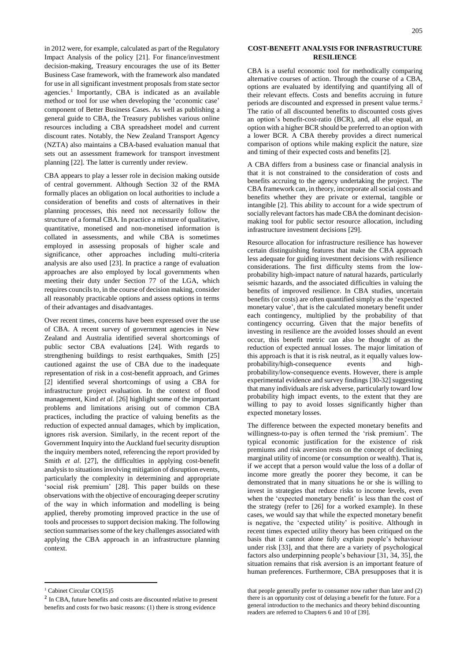in 2012 were, for example, calculated as part of the Regulatory Impact Analysis of the policy [21]. For finance/investment decision-making, Treasury encourages the use of its Better Business Case framework, with the framework also mandated for use in all significant investment proposals from state sector agencies. 1 Importantly, CBA is indicated as an available method or tool for use when developing the 'economic case' component of Better Business Cases. As well as publishing a general guide to CBA, the Treasury publishes various online resources including a CBA spreadsheet model and current discount rates. Notably, the New Zealand Transport Agency (NZTA) also maintains a CBA-based evaluation manual that sets out an assessment framework for transport investment planning [22]. The latter is currently under review.

CBA appears to play a lesser role in decision making outside of central government. Although Section 32 of the RMA formally places an obligation on local authorities to include a consideration of benefits and costs of alternatives in their planning processes, this need not necessarily follow the structure of a formal CBA. In practice a mixture of qualitative, quantitative, monetised and non-monetised information is collated in assessments, and while CBA is sometimes employed in assessing proposals of higher scale and significance, other approaches including multi-criteria analysis are also used [23]. In practice a range of evaluation approaches are also employed by local governments when meeting their duty under Section 77 of the LGA, which requires councils to, in the course of decision making, consider all reasonably practicable options and assess options in terms of their advantages and disadvantages.

Over recent times, concerns have been expressed over the use of CBA. A recent survey of government agencies in New Zealand and Australia identified several shortcomings of public sector CBA evaluations [24]. With regards to strengthening buildings to resist earthquakes, Smith [25] cautioned against the use of CBA due to the inadequate representation of risk in a cost-benefit approach, and Grimes [2] identified several shortcomings of using a CBA for infrastructure project evaluation. In the context of flood management, Kind *et al.* [26] highlight some of the important problems and limitations arising out of common CBA practices, including the practice of valuing benefits as the reduction of expected annual damages, which by implication, ignores risk aversion. Similarly, in the recent report of the Government Inquiry into the Auckland fuel security disruption the inquiry members noted, referencing the report provided by Smith *et al*. [27], the difficulties in applying cost-benefit analysis to situations involving mitigation of disruption events, particularly the complexity in determining and appropriate 'social risk premium' [28]. This paper builds on these observations with the objective of encouraging deeper scrutiny of the way in which information and modelling is being applied, thereby promoting improved practice in the use of tools and processes to support decision making. The following section summarises some of the key challenges associated with applying the CBA approach in an infrastructure planning context.

 $\overline{a}$ 

#### **COST-BENEFIT ANALYSIS FOR INFRASTRUCTURE RESILIENCE**

CBA is a useful economic tool for methodically comparing alternative courses of action. Through the course of a CBA, options are evaluated by identifying and quantifying all of their relevant effects. Costs and benefits accruing in future periods are discounted and expressed in present value terms.<sup>2</sup> The ratio of all discounted benefits to discounted costs gives an option's benefit-cost-ratio (BCR), and, all else equal, an option with a higher BCR should be preferred to an option with a lower BCR. A CBA thereby provides a direct numerical comparison of options while making explicit the nature, size and timing of their expected costs and benefits [2].

A CBA differs from a business case or financial analysis in that it is not constrained to the consideration of costs and benefits accruing to the agency undertaking the project. The CBA framework can, in theory, incorporate all social costs and benefits whether they are private or external, tangible or intangible [2]. This ability to account for a wide spectrum of socially relevant factors has made CBA the dominant decisionmaking tool for public sector resource allocation, including infrastructure investment decisions [29].

Resource allocation for infrastructure resilience has however certain distinguishing features that make the CBA approach less adequate for guiding investment decisions with resilience considerations. The first difficulty stems from the lowprobability high-impact nature of natural hazards, particularly seismic hazards, and the associated difficulties in valuing the benefits of improved resilience. In CBA studies, uncertain benefits (or costs) are often quantified simply as the 'expected monetary value', that is the calculated monetary benefit under each contingency, multiplied by the probability of that contingency occurring. Given that the major benefits of investing in resilience are the avoided losses should an event occur, this benefit metric can also be thought of as the reduction of expected annual losses. The major limitation of this approach is that it is risk neutral, as it equally values lowprobability/high-consequence events and highprobability/low-consequence events. However, there is ample experimental evidence and survey findings [30-32] suggesting that many individuals are risk adverse, particularly toward low probability high impact events, to the extent that they are willing to pay to avoid losses significantly higher than expected monetary losses.

The difference between the expected monetary benefits and willingness-to-pay is often termed the 'risk premium'. The typical economic justification for the existence of risk premiums and risk aversion rests on the concept of declining marginal utility of income (or consumption or wealth). That is, if we accept that a person would value the loss of a dollar of income more greatly the poorer they become, it can be demonstrated that in many situations he or she is willing to invest in strategies that reduce risks to income levels, even when the 'expected monetary benefit' is less than the cost of the strategy (refer to [26] for a worked example). In these cases, we would say that while the expected monetary benefit is negative, the 'expected utility' is positive. Although in recent times expected utility theory has been critiqued on the basis that it cannot alone fully explain people's behaviour under risk [33], and that there are a variety of psychological factors also underpinning people's behaviour [31, 34, 35], the situation remains that risk aversion is an important feature of human preferences. Furthermore, CBA presupposes that it is

 $1$  Cabinet Circular CO(15)5

<sup>&</sup>lt;sup>2</sup> In CBA, future benefits and costs are discounted relative to present benefits and costs for two basic reasons: (1) there is strong evidence

that people generally prefer to consumer now rather than later and (2) there is an opportunity cost of delaying a benefit for the future. For a general introduction to the mechanics and theory behind discounting readers are referred to Chapters 6 and 10 of [39].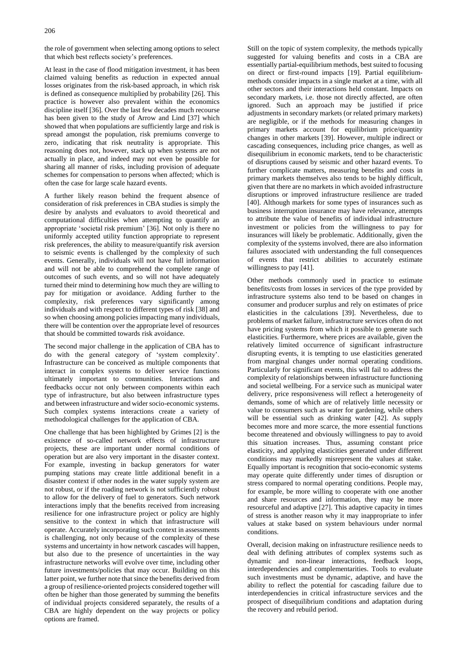the role of government when selecting among options to select that which best reflects society's preferences.

At least in the case of flood mitigation investment, it has been claimed valuing benefits as reduction in expected annual losses originates from the risk-based approach, in which risk is defined as consequence multiplied by probability [26]. This practice is however also prevalent within the economics discipline itself [36]. Over the last few decades much recourse has been given to the study of Arrow and Lind [37] which showed that when populations are sufficiently large and risk is spread amongst the population, risk premiums converge to zero, indicating that risk neutrality is appropriate. This reasoning does not, however, stack up when systems are not actually in place, and indeed may not even be possible for sharing all manner of risks, including provision of adequate schemes for compensation to persons when affected; which is often the case for large scale hazard events.

A further likely reason behind the frequent absence of consideration of risk preferences in CBA studies is simply the desire by analysts and evaluators to avoid theoretical and computational difficulties when attempting to quantify an appropriate 'societal risk premium' [36]. Not only is there no uniformly accepted utility function appropriate to represent risk preferences, the ability to measure/quantify risk aversion to seismic events is challenged by the complexity of such events. Generally, individuals will not have full information and will not be able to comprehend the complete range of outcomes of such events, and so will not have adequately turned their mind to determining how much they are willing to pay for mitigation or avoidance. Adding further to the complexity, risk preferences vary significantly among individuals and with respect to different types of risk [38] and so when choosing among policies impacting many individuals, there will be contention over the appropriate level of resources that should be committed towards risk avoidance.

The second major challenge in the application of CBA has to do with the general category of 'system complexity'. Infrastructure can be conceived as multiple components that interact in complex systems to deliver service functions ultimately important to communities. Interactions and feedbacks occur not only between components within each type of infrastructure, but also between infrastructure types and between infrastructure and wider socio-economic systems. Such complex systems interactions create a variety of methodological challenges for the application of CBA.

One challenge that has been highlighted by Grimes [2] is the existence of so-called network effects of infrastructure projects, these are important under normal conditions of operation but are also very important in the disaster context. For example, investing in backup generators for water pumping stations may create little additional benefit in a disaster context if other nodes in the water supply system are not robust, or if the roading network is not sufficiently robust to allow for the delivery of fuel to generators. Such network interactions imply that the benefits received from increasing resilience for one infrastructure project or policy are highly sensitive to the context in which that infrastructure will operate. Accurately incorporating such context in assessments is challenging, not only because of the complexity of these systems and uncertainty in how network cascades will happen, but also due to the presence of uncertainties in the way infrastructure networks will evolve over time, including other future investments/policies that may occur. Building on this latter point, we further note that since the benefits derived from a group of resilience-oriented projects considered together will often be higher than those generated by summing the benefits of individual projects considered separately, the results of a CBA are highly dependent on the way projects or policy options are framed.

Still on the topic of system complexity, the methods typically suggested for valuing benefits and costs in a CBA are essentially partial-equilibrium methods, best suited to focusing on direct or first-round impacts [19]. Partial equilibriummethods consider impacts in a single market at a time, with all other sectors and their interactions held constant. Impacts on secondary markets, i.e. those not directly affected, are often ignored. Such an approach may be justified if price adjustments in secondary markets (or related primary markets) are negligible, or if the methods for measuring changes in primary markets account for equilibrium price/quantity changes in other markets [39]. However, multiple indirect or cascading consequences, including price changes, as well as disequilibrium in economic markets, tend to be characteristic of disruptions caused by seismic and other hazard events. To further complicate matters, measuring benefits and costs in primary markets themselves also tends to be highly difficult, given that there are no markets in which avoided infrastructure disruptions or improved infrastructure resilience are traded [40]. Although markets for some types of insurances such as business interruption insurance may have relevance, attempts to attribute the value of benefits of individual infrastructure investment or policies from the willingness to pay for insurances will likely be problematic. Additionally, given the complexity of the systems involved, there are also information failures associated with understanding the full consequences of events that restrict abilities to accurately estimate willingness to pay [41].

Other methods commonly used in practice to estimate benefits/costs from losses in services of the type provided by infrastructure systems also tend to be based on changes in consumer and producer surplus and rely on estimates of price elasticities in the calculations [39]. Nevertheless, due to problems of market failure, infrastructure services often do not have pricing systems from which it possible to generate such elasticities. Furthermore, where prices are available, given the relatively limited occurrence of significant infrastructure disrupting events, it is tempting to use elasticities generated from marginal changes under normal operating conditions. Particularly for significant events, this will fail to address the complexity of relationships between infrastructure functioning and societal wellbeing. For a service such as municipal water delivery, price responsiveness will reflect a heterogeneity of demands, some of which are of relatively little necessity or value to consumers such as water for gardening, while others will be essential such as drinking water [42]. As supply becomes more and more scarce, the more essential functions become threatened and obviously willingness to pay to avoid this situation increases. Thus, assuming constant price elasticity, and applying elasticities generated under different conditions may markedly misrepresent the values at stake. Equally important is recognition that socio-economic systems may operate quite differently under times of disruption or stress compared to normal operating conditions. People may, for example, be more willing to cooperate with one another and share resources and information, they may be more resourceful and adaptive [27]. This adaptive capacity in times of stress is another reason why it may inappropriate to infer values at stake based on system behaviours under normal conditions.

Overall, decision making on infrastructure resilience needs to deal with defining attributes of complex systems such as dynamic and non-linear interactions, feedback loops, interdependencies and complementarities. Tools to evaluate such investments must be dynamic, adaptive, and have the ability to reflect the potential for cascading failure due to interdependencies in critical infrastructure services and the prospect of disequilibrium conditions and adaptation during the recovery and rebuild period.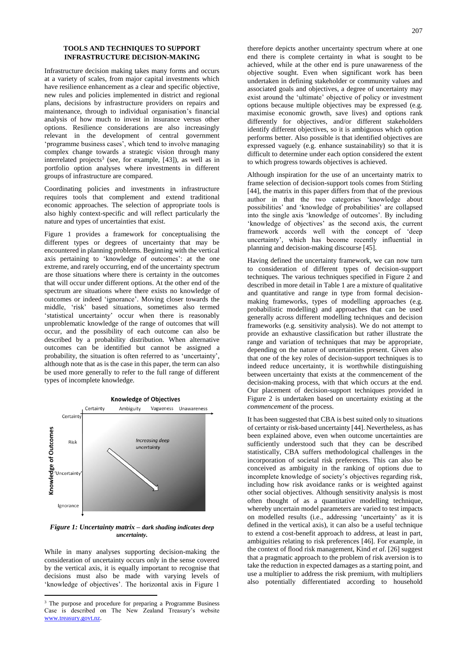### **TOOLS AND TECHNIQUES TO SUPPORT INFRASTRUCTURE DECISION-MAKING**

Infrastructure decision making takes many forms and occurs at a variety of scales, from major capital investments which have resilience enhancement as a clear and specific objective, new rules and policies implemented in district and regional plans, decisions by infrastructure providers on repairs and maintenance, through to individual organisation's financial analysis of how much to invest in insurance versus other options. Resilience considerations are also increasingly relevant in the development of central government 'programme business cases', which tend to involve managing complex change towards a strategic vision through many interrelated projects<sup>3</sup> (see, for example, [43]), as well as in portfolio option analyses where investments in different groups of infrastructure are compared.

Coordinating policies and investments in infrastructure requires tools that complement and extend traditional economic approaches. The selection of appropriate tools is also highly context-specific and will reflect particularly the nature and types of uncertainties that exist.

Figure 1 provides a framework for conceptualising the different types or degrees of uncertainty that may be encountered in planning problems. Beginning with the vertical axis pertaining to 'knowledge of outcomes': at the one extreme, and rarely occurring, end of the uncertainty spectrum are those situations where there is certainty in the outcomes that will occur under different options. At the other end of the spectrum are situations where there exists no knowledge of outcomes or indeed 'ignorance'. Moving closer towards the middle, 'risk' based situations, sometimes also termed 'statistical uncertainty' occur when there is reasonably unproblematic knowledge of the range of outcomes that will occur, and the possibility of each outcome can also be described by a probability distribution. When alternative outcomes can be identified but cannot be assigned a probability, the situation is often referred to as 'uncertainty', although note that as is the case in this paper, the term can also be used more generally to refer to the full range of different types of incomplete knowledge.



*Figure 1: Uncertainty matrix – dark shading indicates deep uncertainty.*

While in many analyses supporting decision-making the consideration of uncertainty occurs only in the sense covered by the vertical axis, it is equally important to recognise that decisions must also be made with varying levels of 'knowledge of objectives'. The horizontal axis in Figure 1

l

therefore depicts another uncertainty spectrum where at one end there is complete certainty in what is sought to be achieved, while at the other end is pure unawareness of the objective sought. Even when significant work has been undertaken in defining stakeholder or community values and associated goals and objectives, a degree of uncertainty may exist around the 'ultimate' objective of policy or investment options because multiple objectives may be expressed (e.g. maximise economic growth, save lives) and options rank differently for objectives, and/or different stakeholders identify different objectives, so it is ambiguous which option performs better. Also possible is that identified objectives are expressed vaguely (e.g. enhance sustainability) so that it is difficult to determine under each option considered the extent to which progress towards objectives is achieved.

Although inspiration for the use of an uncertainty matrix to frame selection of decision-support tools comes from Stirling [44], the matrix in this paper differs from that of the previous author in that the two categories 'knowledge about possibilities' and 'knowledge of probabilities' are collapsed into the single axis 'knowledge of outcomes'. By including 'knowledge of objectives' as the second axis, the current framework accords well with the concept of 'deep uncertainty', which has become recently influential in planning and decision-making discourse [45].

Having defined the uncertainty framework, we can now turn to consideration of different types of decision-support techniques. The various techniques specified in Figure 2 and described in more detail in Table 1 are a mixture of qualitative and quantitative and range in type from formal decisionmaking frameworks, types of modelling approaches (e.g. probabilistic modelling) and approaches that can be used generally across different modelling techniques and decision frameworks (e.g. sensitivity analysis). We do not attempt to provide an exhaustive classification but rather illustrate the range and variation of techniques that may be appropriate, depending on the nature of uncertainties present. Given also that one of the key roles of decision-support techniques is to indeed reduce uncertainty, it is worthwhile distinguishing between uncertainty that exists at the commencement of the decision-making process, with that which occurs at the end. Our placement of decision-support techniques provided in Figure 2 is undertaken based on uncertainty existing at the *commencement* of the process.

It has been suggested that CBA is best suited only to situations of certainty or risk-based uncertainty [44]. Nevertheless, as has been explained above, even when outcome uncertainties are sufficiently understood such that they can be described statistically, CBA suffers methodological challenges in the incorporation of societal risk preferences. This can also be conceived as ambiguity in the ranking of options due to incomplete knowledge of society's objectives regarding risk, including how risk avoidance ranks or is weighted against other social objectives. Although sensitivity analysis is most often thought of as a quantitative modelling technique, whereby uncertain model parameters are varied to test impacts on modelled results (i.e., addressing 'uncertainty' as it is defined in the vertical axis), it can also be a useful technique to extend a cost-benefit approach to address, at least in part, ambiguities relating to risk preferences [46]. For example, in the context of flood risk management, Kind *et al*. [26] suggest that a pragmatic approach to the problem of risk aversion is to take the reduction in expected damages as a starting point, and use a multiplier to address the risk premium, with multipliers also potentially differentiated according to household

<sup>&</sup>lt;sup>3</sup> The purpose and procedure for preparing a Programme Business Case is described on The New Zealand Treasury's website [www.treasury.govt.nz.](http://www.treasury.govt.nz/)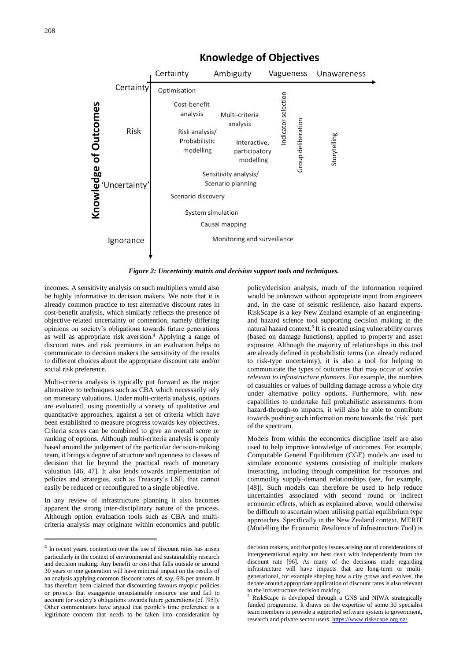

## **Knowledge of Objectives**

*Figure 2: Uncertainty matrix and decision support tools and techniques.*

Monitoring and surveillance

incomes. A sensitivity analysis on such multipliers would also be highly informative to decision makers. We note that it is already common practice to test alternative discount rates in cost-benefit analysis, which similarly reflects the presence of objective-related uncertainty or contention, namely differing opinions on society's obligations towards future generations as well as appropriate risk aversion.<sup>4</sup> Applying a range of discount rates and risk premiums in an evaluation helps to communicate to decision makers the sensitivity of the results to different choices about the appropriate discount rate and/or social risk preference.

Ignorance

Multi-criteria analysis is typically put forward as the major alternative to techniques such as CBA which necessarily rely on monetary valuations. Under multi-criteria analysis, options are evaluated, using potentially a variety of qualitative and quantitative approaches, against a set of criteria which have been established to measure progress towards key objectives. Criteria scores can be combined to give an overall score or ranking of options. Although multi-criteria analysis is openly based around the judgement of the particular decision-making team, it brings a degree of structure and openness to classes of decision that lie beyond the practical reach of monetary valuation [46, 47]. It also lends towards implementation of policies and strategies, such as Treasury's LSF, that cannot easily be reduced or reconfigured to a single objective.

In any review of infrastructure planning it also becomes apparent the strong inter-disciplinary nature of the process. Although option evaluation tools such as CBA and multicriteria analysis may originate within economics and public

 $\overline{a}$ 

policy/decision analysis, much of the information required would be unknown without appropriate input from engineers and, in the case of seismic resilience, also hazard experts. RiskScape is a key New Zealand example of an engineeringand hazard science tool supporting decision making in the natural hazard context. 5 It is created using vulnerability curves (based on damage functions), applied to property and asset exposure. Although the majority of relationships in this tool are already defined in probabilistic terms (i.e. already reduced to risk-type uncertainty), it is also a tool for helping to communicate the types of outcomes that may occur *at scales relevant to infrastructure planners*. For example, the numbers of casualties or values of building damage across a whole city under alternative policy options. Furthermore, with new capabilities to undertake full probabilistic assessments from hazard-through-to impacts, it will also be able to contribute towards pushing such information more towards the 'risk' part of the spectrum.

Models from within the economics discipline itself are also used to help improve knowledge of outcomes. For example, Computable General Equilibrium (CGE) models are used to simulate economic systems consisting of multiple markets interacting, including through competition for resources and commodity supply-demand relationships (see, for example, [48]). Such models can therefore be used to help reduce uncertainties associated with second round or indirect economic effects, which as explained above, would otherwise be difficult to ascertain when utilising partial equilibrium type approaches. Specifically in the New Zealand context, MERIT (*M*odelling the *E*conomic *R*esilience of *I*nfrastructure *T*ool) is

<sup>&</sup>lt;sup>4</sup> In recent years, contention over the use of discount rates has arisen particularly in the context of environmental and sustainability research and decision making. Any benefit or cost that falls outside or around 30 years or one generation will have minimal impact on the results of an analysis applying common discount rates of, say, 6% per annum. It has therefore been claimed that discounting favours myopic policies or projects that exaggerate unsustainable resource use and fail to account for society's obligations towards future generations (cf. [95]). Other commentators have argued that people's time preference is a legitimate concern that needs to be taken into consideration by

decision makers, and that policy issues arising out of considerations of intergenerational equity are best dealt with independently from the discount rate [96]. As many of the decisions made regarding infrastructure will have impacts that are long-term or multigenerational, for example shaping how a city grows and evolves, the debate around appropriate application of discount rates is also relevant to the infrastructure decision making.

<sup>5</sup> RiskScape is developed through a GNS and NIWA strategically funded programme. It draws on the expertise of some 30 specialist team members to provide a supported software system to government, research and private sector users[. https://www.riskscape.org.nz/](https://www.riskscape.org.nz/)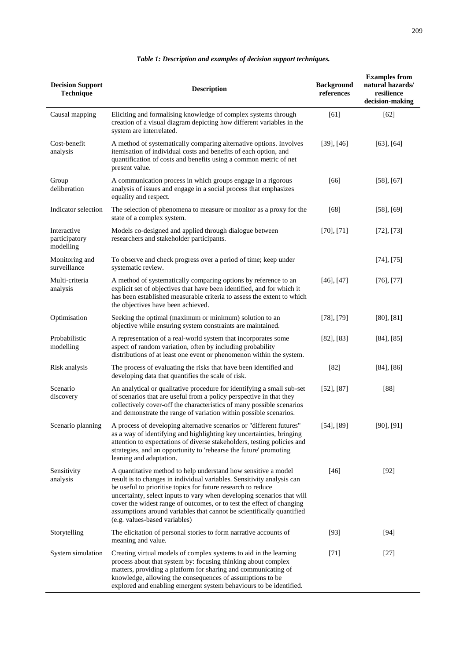| <b>Decision Support</b><br>Technique      | <b>Description</b>                                                                                                                                                                                                                                                                                                                                                                                                                                                    | <b>Background</b><br>references | <b>Examples from</b><br>natural hazards/<br>resilience<br>decision-making |
|-------------------------------------------|-----------------------------------------------------------------------------------------------------------------------------------------------------------------------------------------------------------------------------------------------------------------------------------------------------------------------------------------------------------------------------------------------------------------------------------------------------------------------|---------------------------------|---------------------------------------------------------------------------|
| Causal mapping                            | Eliciting and formalising knowledge of complex systems through<br>creation of a visual diagram depicting how different variables in the<br>system are interrelated.                                                                                                                                                                                                                                                                                                   | [61]                            | $[62]$                                                                    |
| Cost-benefit<br>analysis                  | A method of systematically comparing alternative options. Involves<br>itemisation of individual costs and benefits of each option, and<br>quantification of costs and benefits using a common metric of net<br>present value.                                                                                                                                                                                                                                         | $[39]$ , $[46]$                 | $[63]$ , $[64]$                                                           |
| Group<br>deliberation                     | A communication process in which groups engage in a rigorous<br>analysis of issues and engage in a social process that emphasizes<br>equality and respect.                                                                                                                                                                                                                                                                                                            | [66]                            | $[58]$ , $[67]$                                                           |
| Indicator selection                       | The selection of phenomena to measure or monitor as a proxy for the<br>state of a complex system.                                                                                                                                                                                                                                                                                                                                                                     | [68]                            | $[58]$ , $[69]$                                                           |
| Interactive<br>participatory<br>modelling | Models co-designed and applied through dialogue between<br>researchers and stakeholder participants.                                                                                                                                                                                                                                                                                                                                                                  | $[70]$ , $[71]$                 | [72], [73]                                                                |
| Monitoring and<br>surveillance            | To observe and check progress over a period of time; keep under<br>systematic review.                                                                                                                                                                                                                                                                                                                                                                                 |                                 | $[74]$ , [75]                                                             |
| Multi-criteria<br>analysis                | A method of systematically comparing options by reference to an<br>explicit set of objectives that have been identified, and for which it<br>has been established measurable criteria to assess the extent to which<br>the objectives have been achieved.                                                                                                                                                                                                             | $[46]$ , $[47]$                 | $[76]$ , $[77]$                                                           |
| Optimisation                              | Seeking the optimal (maximum or minimum) solution to an<br>objective while ensuring system constraints are maintained.                                                                                                                                                                                                                                                                                                                                                | $[78]$ , $[79]$                 | [80], [81]                                                                |
| Probabilistic<br>modelling                | A representation of a real-world system that incorporates some<br>aspect of random variation, often by including probability<br>distributions of at least one event or phenomenon within the system.                                                                                                                                                                                                                                                                  | $[82]$ , $[83]$                 | $[84]$ , $[85]$                                                           |
| Risk analysis                             | The process of evaluating the risks that have been identified and<br>developing data that quantifies the scale of risk.                                                                                                                                                                                                                                                                                                                                               | $[82]$                          | $[84]$ , $[86]$                                                           |
| Scenario<br>discovery                     | An analytical or qualitative procedure for identifying a small sub-set<br>of scenarios that are useful from a policy perspective in that they<br>collectively cover-off the characteristics of many possible scenarios<br>and demonstrate the range of variation within possible scenarios.                                                                                                                                                                           | [52], [87]                      | $[88]$                                                                    |
| Scenario planning                         | A process of developing alternative scenarios or "different futures"<br>as a way of identifying and highlighting key uncertainties, bringing<br>attention to expectations of diverse stakeholders, testing policies and<br>strategies, and an opportunity to 'rehearse the future' promoting<br>leaning and adaptation.                                                                                                                                               | [54], [89]                      | $[90]$ , $[91]$                                                           |
| Sensitivity<br>analysis                   | A quantitative method to help understand how sensitive a model<br>result is to changes in individual variables. Sensitivity analysis can<br>be useful to prioritise topics for future research to reduce<br>uncertainty, select inputs to vary when developing scenarios that will<br>cover the widest range of outcomes, or to test the effect of changing<br>assumptions around variables that cannot be scientifically quantified<br>(e.g. values-based variables) | $[46]$                          | $[92]$                                                                    |
| Storytelling                              | The elicitation of personal stories to form narrative accounts of<br>meaning and value.                                                                                                                                                                                                                                                                                                                                                                               | $[93]$                          | $[94]$                                                                    |
| System simulation                         | Creating virtual models of complex systems to aid in the learning<br>process about that system by: focusing thinking about complex<br>matters, providing a platform for sharing and communicating of<br>knowledge, allowing the consequences of assumptions to be<br>explored and enabling emergent system behaviours to be identified.                                                                                                                               | $[71]$                          | $[27]$                                                                    |

## *Table 1: Description and examples of decision support techniques.*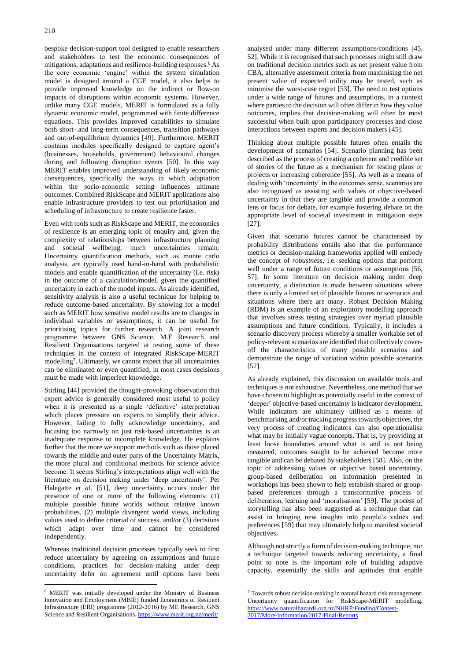bespoke decision-support tool designed to enable researchers and stakeholders to test the economic consequences of mitigations, adaptations and resilience-building responses.<sup>6</sup> As the core economic 'engine' within the system simulation model is designed around a CGE model, it also helps to provide improved knowledge on the indirect or flow-on impacts of disruptions within economic systems. However, unlike many CGE models, MERIT is formulated as a fully dynamic economic model, programmed with finite difference equations. This provides improved capabilities to simulate both short- and long-term consequences, transition pathways and out-of-equilibrium dynamics [49]. Furthermore, MERIT contains modules specifically designed to capture agent's (businesses, households, government) behavioural changes during and following disruption events [50]. In this way MERIT enables improved understanding of likely economic consequences, specifically the ways in which adaptation within the socio-economic setting influences ultimate outcomes. Combined RiskScape and MERIT applications also enable infrastructure providers to test out prioritisation and scheduling of infrastructure to create resilience faster.

Even with tools such as RiskScape and MERIT, the economics of resilience is an emerging topic of enquiry and, given the complexity of relationships between infrastructure planning and societal wellbeing, much uncertainties remain. Uncertainty quantification methods, such as monte carlo analysis, are typically used hand-in-hand with probabilistic models and enable quantification of the uncertainty (i.e. risk) in the outcome of a calculation/model, given the quantified uncertainty in each of the model inputs. As already identified, sensitivity analysis is also a useful technique for helping to reduce outcome-based uncertainty. By showing for a model such as MERIT how sensitive model results are to changes in individual variables or assumptions, it can be useful for prioritising topics for further research. A joint research programme between GNS Science, M.E Research and Resilient Organisations targeted at testing some of these techniques in the context of integrated RiskScape-MERIT modelling<sup>7</sup> . Ultimately, we cannot expect that all uncertainties can be eliminated or even quantified; in most cases decisions must be made with imperfect knowledge.

Stirling [44] provided the thought-provoking observation that expert advice is generally considered most useful to policy when it is presented as a single 'definitive' interpretation which places pressure on experts to simplify their advice. However, failing to fully acknowledge uncertainty, and focusing too narrowly on just risk-based uncertainties is an inadequate response to incomplete knowledge. He explains further that the more we support methods such as those placed towards the middle and outer parts of the Uncertainty Matrix, the more plural and conditional methods for science advice become. It seems Stirling's interpretations align well with the literature on decision making under 'deep uncertainty'. Per Halegatte *et al.* [51], deep uncertainty occurs under the presence of one or more of the following elements: (1) multiple possible future worlds without relative known probabilities, (2) multiple divergent world views, including values used to define criterial of success, and/or (3) decisions which adapt over time and cannot be considered independently.

Whereas traditional decision processes typically seek to first reduce uncertainty by agreeing on assumptions and future conditions, practices for decision-making under deep uncertainty defer on agreement until options have been

 $\overline{a}$ 

analysed under many different assumptions/conditions [45, 52]. While it is recognised that such processes might still draw on traditional decision metrics such as net present value from CBA, alternative assessment criteria from maximising the net present value of expected utility may be tested, such as minimise the worst-case regret [53]. The need to test options under a wide range of futures and assumptions, in a context where parties to the decision will often differ in how they value outcomes, implies that decision-making will often be most successful when built upon participatory processes and close interactions between experts and decision makers [45].

Thinking about multiple possible futures often entails the development of scenarios [54]. Scenario planning has been described as the process of creating a coherent and credible set of stories of the future as a mechanism for testing plans or projects or increasing coherence [55]. As well as a means of dealing with 'uncertainty' in the outcomes sense, scenarios are also recognised as assisting with values or objective-based uncertainty in that they are tangible and provide a common lens or focus for debate, for example fostering debate on the appropriate level of societal investment in mitigation steps [27].

Given that scenario futures cannot be characterised by probability distributions entails also that the performance metrics or decision-making frameworks applied will embody the concept of *robustness,* i.e. seeking options that perform well under a range of future conditions or assumptions [56, 57]. In some literature on decision making under deep uncertainty, a distinction is made between situations where there is only a limited set of plausible futures or scenarios and situations where there are many. Robust Decision Making (RDM) is an example of an exploratory modelling approach that involves stress testing strategies over myriad plausible assumptions and future conditions. Typically, it includes a scenario discovery process whereby a smaller workable set of policy-relevant scenarios are identified that collectively coveroff the characteristics of many possible scenarios and demonstrate the range of variation within possible scenarios [52].

As already explained, this discussion on available tools and techniques is not exhaustive. Nevertheless, one method that we have chosen to highlight as potentially useful in the context of 'deeper' objective-based uncertainty is indicator development. While indicators are ultimately utilised as a means of benchmarking and/or tracking progress towards objectives, the very process of creating indicators can also operationalise what may be initially vague concepts. That is, by providing at least loose boundaries around what is and is not being measured, outcomes sought to be achieved become more tangible and can be debated by stakeholders [58]. Also, on the topic of addressing values or objective based uncertainty, group-based deliberation on information presented in workshops has been shown to help establish shared or groupbased preferences through a transformative process of deliberation, learning and 'moralisation' [59]. The process of storytelling has also been suggested as a technique that can assist in bringing new insights into people's values and preferences [59] that may ultimately help to manifest societal objectives.

Although not strictly a form of decision-making technique, nor a technique targeted towards reducing uncertainty, a final point to note is the important role of building adaptive capacity, essentially the skills and aptitudes that enable

<sup>6</sup> MERIT was initially developed under the Ministry of Business Innovation and Employment (MBIE) funded Economics of Resilient Infrastructure (ERI) programme (2012-2016) by ME Research, GNS Science and Resilient Organisations[. https://www.merit.org.nz/merit/](https://www.merit.org.nz/merit/)

 $7$  Towards robust decision-making in natural hazard risk management: Uncertainty quantification for RiskScape-MERIT modelling. [https://www.naturalhazards.org.nz/NHRP/Funding/Contest-](https://www.naturalhazards.org.nz/NHRP/Funding/Contest-2017/More-information/2017-Final-Reports)[2017/More-information/2017-Final-Reports](https://www.naturalhazards.org.nz/NHRP/Funding/Contest-2017/More-information/2017-Final-Reports)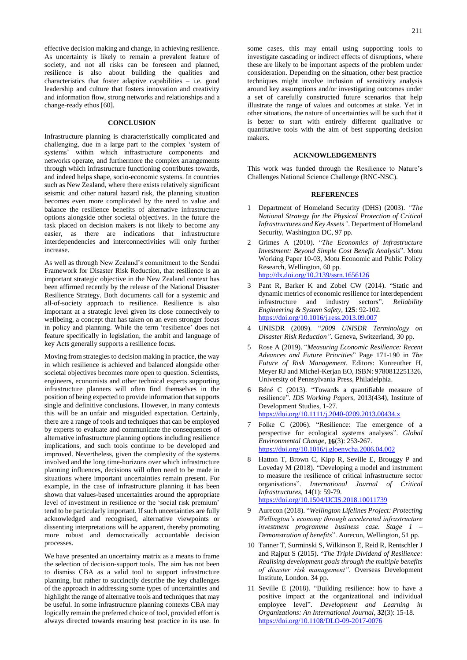effective decision making and change, in achieving resilience. As uncertainty is likely to remain a prevalent feature of society, and not all risks can be foreseen and planned, resilience is also about building the qualities and characteristics that foster adaptive capabilities – i.e. good leadership and culture that fosters innovation and creativity and information flow, strong networks and relationships and a change-ready ethos [60].

#### **CONCLUSION**

Infrastructure planning is characteristically complicated and challenging, due in a large part to the complex 'system of systems' within which infrastructure components and networks operate, and furthermore the complex arrangements through which infrastructure functioning contributes towards, and indeed helps shape, socio-economic systems. In countries such as New Zealand, where there exists relatively significant seismic and other natural hazard risk, the planning situation becomes even more complicated by the need to value and balance the resilience benefits of alternative infrastructure options alongside other societal objectives. In the future the task placed on decision makers is not likely to become any easier, as there are indications that infrastructure interdependencies and interconnectivities will only further increase.

As well as through New Zealand's commitment to the Sendai Framework for Disaster Risk Reduction, that resilience is an important strategic objective in the New Zealand context has been affirmed recently by the release of the National Disaster Resilience Strategy. Both documents call for a systemic and all-of-society approach to resilience. Resilience is also important at a strategic level given its close connectively to wellbeing, a concept that has taken on an even stronger focus in policy and planning. While the term 'resilience' does not feature specifically in legislation, the ambit and language of key Acts generally supports a resilience focus.

Moving from strategies to decision making in practice, the way in which resilience is achieved and balanced alongside other societal objectives becomes more open to question. Scientists, engineers, economists and other technical experts supporting infrastructure planners will often find themselves in the position of being expected to provide information that supports single and definitive conclusions. However, in many contexts this will be an unfair and misguided expectation. Certainly, there are a range of tools and techniques that can be employed by experts to evaluate and communicate the consequences of alternative infrastructure planning options including resilience implications, and such tools continue to be developed and improved. Nevertheless, given the complexity of the systems involved and the long time-horizons over which infrastructure planning influences, decisions will often need to be made in situations where important uncertainties remain present. For example, in the case of infrastructure planning it has been shown that values-based uncertainties around the appropriate level of investment in resilience or the 'social risk premium' tend to be particularly important. If such uncertainties are fully acknowledged and recognised, alternative viewpoints or dissenting interpretations will be apparent, thereby promoting more robust and democratically accountable decision processes.

We have presented an uncertainty matrix as a means to frame the selection of decision-support tools. The aim has not been to dismiss CBA as a valid tool to support infrastructure planning, but rather to succinctly describe the key challenges of the approach in addressing some types of uncertainties and highlight the range of alternative tools and techniques that may be useful. In some infrastructure planning contexts CBA may logically remain the preferred choice of tool, provided effort is always directed towards ensuring best practice in its use. In some cases, this may entail using supporting tools to investigate cascading or indirect effects of disruptions, where these are likely to be important aspects of the problem under consideration. Depending on the situation, other best practice techniques might involve inclusion of sensitivity analysis around key assumptions and/or investigating outcomes under a set of carefully constructed future scenarios that help illustrate the range of values and outcomes at stake. Yet in other situations, the nature of uncertainties will be such that it is better to start with entirely different qualitative or quantitative tools with the aim of best supporting decision makers.

#### **ACKNOWLEDGEMENTS**

This work was funded through the Resilience to Nature's Challenges National Science Challenge (RNC-NSC).

### **REFERENCES**

- 1 Department of Homeland Security (DHS) (2003). *"The National Strategy for the Physical Protection of Critical Infrastructures and Key Assets"*. Department of Homeland Security, Washington DC, 97 pp.
- 2 Grimes A (2010). "*The Economics of Infrastructure Investment: Beyond Simple Cost Benefit Analysis*". Motu Working Paper 10-03, Motu Economic and Public Policy Research, Wellington, 60 pp. <http://dx.doi.org/10.2139/ssrn.1656126>
- 3 Pant R, Barker K and Zobel CW (2014). "Static and dynamic metrics of economic resilience for interdependent infrastructure and industry sectors". *Reliability Engineering & System Safety*, **125**: 92-102. <https://doi.org/10.1016/j.ress.2013.09.007>
- 4 UNISDR (2009). "*2009 UNISDR Terminology on Disaster Risk Reduction"*. Geneva, Switzerland, 30 pp.
- 5 Rose A (2019). "*Measuring Economic Resilience: Recent Advances and Future Priorities*" Page 171-190 in *The Future of Risk Management*. Editors: Kunreuther H, Meyer RJ and Michel-Kerjan EO, ISBN: 9780812251326, University of Pennsylvania Press, Philadelphia.
- 6 Béné C (2013). "Towards a quantifiable measure of resilience". *IDS Working Papers*, 2013(434), Institute of Development Studies, 1-27. <https://doi.org/10.1111/j.2040-0209.2013.00434.x>
- 7 Folke C (2006). "Resilience: The emergence of a perspective for ecological systems analyses". *Global Environmental Change*, **16**(3): 253-267. <https://doi.org/10.1016/j.gloenvcha.2006.04.002>
- 8 Hatton T, Brown C, Kipp R, Seville E, Brouggy P and Loveday M (2018). "Developing a model and instrument to measure the resilience of critical infrastructure sector organisations". *International Journal of Critical Infrastructures*, **14**(1): 59-79. <https://doi.org/10.1504/IJCIS.2018.10011739>
- 9 Aurecon (2018). "*Wellington Lifelines Project: Protecting Wellington's economy through accelerated infrastructure investment programme business case. Stage 1 – Demonstration of benefits*". Aurecon, Wellington, 51 pp.
- 10 Tanner T, Surminski S, Wilkinson E, Reid R, Rentschler J and Rajput S (2015). "*The Triple Dividend of Resilience: Realising development goals through the multiple benefits of disaster risk management"*. Overseas Development Institute, London. 34 pp.
- 11 Seville E (2018). "Building resilience: how to have a positive impact at the organizational and individual employee level". *Development and Learning in Organizations: An International Journal*, **32**(3): 15-18. <https://doi.org/10.1108/DLO-09-2017-0076>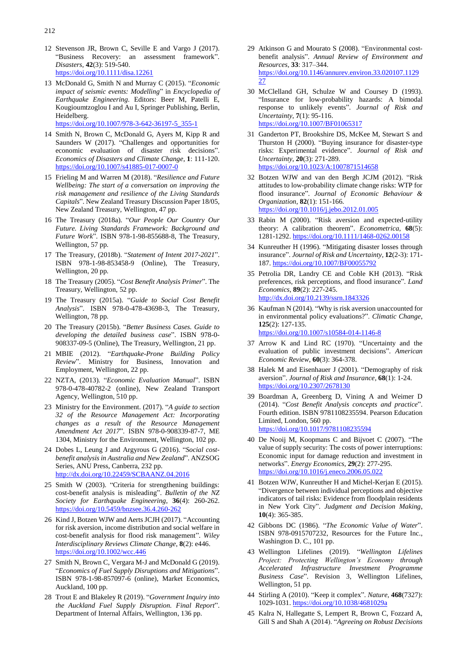- 12 Stevenson JR, Brown C, Seville E and Vargo J (2017). "Business Recovery: an assessment framework". *Disasters*, **42**(3): 519-540. <https://doi.org/10.1111/disa.12261>
- 13 McDonald G, Smith N and Murray C (2015). "*Economic impact of seismic events: Modelling*" in *Encyclopedia of Earthquake Engineering*. Editors: Beer M, Patelli E, Kougioumtzoglou I and Au I, Springer Publishing, Berlin, Heidelberg.

[https://doi.org/10.1007/978-3-642-36197-5\\_355-1](https://doi.org/10.1007/978-3-642-36197-5_355-1)

- 14 Smith N, Brown C, McDonald G, Ayers M, Kipp R and Saunders W (2017). "Challenges and opportunities for economic evaluation of disaster risk decisions". *Economics of Disasters and Climate Change*, **1**: 111-120. <https://doi.org/10.1007/s41885-017-0007-0>
- 15 Frieling M and Warren M (2018). "*Resilience and Future Wellbeing: The start of a conversation on improving the risk management and resilience of the Living Standards Capitals*". New Zealand Treasury Discussion Paper 18/05, New Zealand Treasury, Wellington, 47 pp.
- 16 The Treasury (2018a). "*Our People Our Country Our Future. Living Standards Framework: Background and Future Work*". ISBN 978-1-98-855688-8, The Treasury, Wellington, 57 pp.
- 17 The Treasury, (2018b). "*Statement of Intent 2017-2021*". ISBN 978-1-98-853458-9 (Online), The Treasury, Wellington, 20 pp.
- 18 The Treasury (2005). "*Cost Benefit Analysis Primer*". The Treasury, Wellington, 52 pp.
- 19 The Treasury (2015a). "*Guide to Social Cost Benefit Analysis*". ISBN 978-0-478-43698-3, The Treasury, Wellington, 78 pp.
- 20 The Treasury (2015b). "*Better Business Cases. Guide to developing the detailed business case*". ISBN 978-0- 908337-09-5 (Online), The Treasury, Wellington, 21 pp.
- 21 MBIE (2012). "*Earthquake-Prone Building Policy Review*". Ministry for Business, Innovation and Employment, Wellington, 22 pp.
- 22 NZTA, (2013). "*Economic Evaluation Manual*". ISBN 978-0-478-40782-2 (online), New Zealand Transport Agency, Wellington, 510 pp.
- 23 Ministry for the Environment. (2017). "*A guide to section 32 of the Resource Management Act: Incorporating changes as a result of the Resource Management Amendment Act 2017*". ISBN 978-0-908339-87-7, ME 1304, Ministry for the Environment, Wellington, 102 pp.
- 24 Dobes L, Leung J and Argyrous G (2016). "*Social costbenefit analysis in Australia and New Zealand*". ANZSOG Series, ANU Press, Canberra, 232 pp. <http://dx.doi.org/10.22459/SCBAANZ.04.2016>
- 25 Smith W (2003). "Criteria for strengthening buildings: cost-benefit analysis is misleading". *Bulletin of the NZ Society for Earthquake Engineering*, **36**(4): 260-262. <https://doi.org/10.5459/bnzsee.36.4.260-262>
- 26 Kind J, Botzen WJW and Aerts JCJH (2017). "Accounting for risk aversion, income distribution and social welfare in cost-benefit analysis for flood risk management". *Wiley Interdisciplinary Reviews Climate Change*, **8**(2): e446. <https://doi.org/10.1002/wcc.446>
- 27 Smith N, Brown C, Vergara M-J and McDonald G (2019). "*Economics of Fuel Supply Disruptions and Mitigations*". ISBN 978-1-98-857097-6 (online), Market Economics, Auckland, 100 pp.
- 28 Trout E and Blakeley R (2019). "*Government Inquiry into the Auckland Fuel Supply Disruption. Final Report*". Department of Internal Affairs, Wellington, 136 pp.
- 29 Atkinson G and Mourato S (2008). "Environmental cost‐ benefit analysis". *Annual Review of Environment and Resources*, **33**: 317–344. [https://doi.org/10.1146/annurev.environ.33.020107.1129](https://doi.org/10.1146/annurev.environ.33.020107.112927) [27](https://doi.org/10.1146/annurev.environ.33.020107.112927)
- 30 McClelland GH, Schulze W and Coursey D (1993). "Insurance for low-probability hazards: A bimodal response to unlikely events". *Journal of Risk and Uncertainty*, **7**(1): 95-116. <https://doi.org/10.1007/BF01065317>
- 31 Ganderton PT, Brookshire DS, McKee M, Stewart S and Thurston H (2000). "Buying insurance for disaster-type risks: Experimental evidence". *Journal of Risk and Uncertainty*, **20**(3): 271-289. <https://doi.org/10.1023/A:1007871514658>
- 32 Botzen WJW and van den Bergh JCJM (2012). "Risk attitudes to low-probability climate change risks: WTP for flood insurance". *Journal of Economic Behaviour & Organization*, **82**(1): 151-166. <https://doi.org/10.1016/j.jebo.2012.01.005>
- 33 Rabin M (2000). "Risk aversion and expected-utility theory: A calibration theorem". *Econometrica*, **68**(5): 1281-1292. <https://doi.org/10.1111/1468-0262.00158>
- 34 Kunreuther H (1996). "Mitigating disaster losses through insurance". *Journal of Risk and Uncertainty*, **12**(2-3): 171- 187. <https://doi.org/10.1007/BF00055792>
- 35 Petrolia DR, Landry CE and Coble KH (2013). "Risk preferences, risk perceptions, and flood insurance". *Land Economics*, **89**(2): 227-245. <http://dx.doi.org/10.2139/ssrn.1843326>
- 36 Kaufman N (2014). "Why is risk aversion unaccounted for in environmental policy evaluations?". *Climatic Change*, **125**(2): 127-135. <https://doi.org/10.1007/s10584-014-1146-8>
- 37 Arrow K and Lind RC (1970). "Uncertainty and the evaluation of public investment decisions". *American Economic Review*, **60**(3): 364-378.
- 38 Halek M and Eisenhauer J (2001). "Demography of risk aversion". *Journal of Risk and Insurance*, **68**(1): 1-24. <https://doi.org/10.2307/2678130>
- 39 Boardman A, Greenberg D, Vining A and Weimer D (2014). "*Cost Benefit Analysis concepts and practice*". Fourth edition. ISBN 9781108235594. Pearson Education Limited, London, 560 pp. <https://doi.org/10.1017/9781108235594>
- 40 De Nooij M, Koopmans C and Bijvoet C (2007). "The value of supply security: The costs of power interruptions: Economic input for damage reduction and investment in networks". *Energy Economics*, **29**(2): 277-295. <https://doi.org/10.1016/j.eneco.2006.05.022>
- 41 Botzen WJW, Kunreuther H and Michel-Kerjan E (2015). "Divergence between individual perceptions and objective indicators of tail risks: Evidence from floodplain residents in New York City". *Judgment and Decision Making*, **10**(4): 365-385.
- 42 Gibbons DC (1986). "*The Economic Value of Water*". ISBN 978-0915707232, Resources for the Future Inc., Washington D. C., 101 pp.
- 43 Wellington Lifelines (2019). "*Wellington Lifelines Project: Protecting Wellington's Economy through Accelerated Infrastructure Investment Programme Business Case*". Revision 3, Wellington Lifelines, Wellington, 51 pp.
- 44 Stirling A (2010). "Keep it complex". *Nature*, **468**(7327): 1029-1031. <https://doi.org/10.1038/4681029a>
- 45 Kalra N, Hallegatte S, Lempert R, Brown C, Fozzard A, Gill S and Shah A (2014). "*Agreeing on Robust Decisions*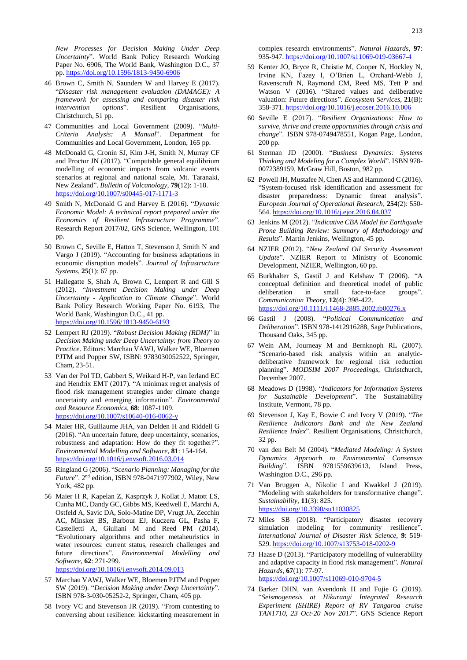*New Processes for Decision Making Under Deep Uncertainty*". World Bank Policy Research Working Paper No. 6906, The World Bank, Washington D.C., 37 pp. <https://doi.org/10.1596/1813-9450-6906>

- 46 Brown C, Smith N, Saunders W and Harvey E (2017). "*Disaster risk management evaluation (DAMAGE): A framework for assessing and comparing disaster risk intervention options*". Resilient Organisations, Christchurch, 51 pp.
- 47 Communities and Local Government (2009). "*Multi-Criteria Analysis: A Manual*". Department for Communities and Local Government, London, 165 pp.
- 48 McDonald G, Cronin SJ, Kim J-H, Smith N, Murray CF and Proctor JN (2017). "Computable general equilibrium modelling of economic impacts from volcanic events scenarios at regional and national scale, Mt. Taranaki, New Zealand". *Bulletin of Volcanology*, **79**(12): 1-18. <https://doi.org/10.1007/s00445-017-1171-3>
- 49 Smith N, McDonald G and Harvey E (2016). "*Dynamic Economic Model: A technical report prepared under the Economics of Resilient Infrastructure Programme*". Research Report 2017/02, GNS Science, Wellington, 101 pp.
- 50 Brown C, Seville E, Hatton T, Stevenson J, Smith N and Vargo J (2019). "Accounting for business adaptations in economic disruption models". *Journal of Infrastructure Systems*, **25**(1): 67 pp.
- 51 Hallegatte S, Shah A, Brown C, Lempert R and Gill S (2012). "*Investment Decision Making under Deep Uncertainty - Application to Climate Change*". World Bank Policy Research Working Paper No. 6193, The World Bank, Washington D.C., 41 pp. <https://doi.org/10.1596/1813-9450-6193>
- 52 Lempert RJ (2019). "*Robust Decision Making (RDM)*" in *Decision Making under Deep Uncertainty: from Theory to Practice*. Editors: Marchau VAWJ, Walker WE, Bloemen PJTM and Popper SW, ISBN: 9783030052522, Springer, Cham, 23-51.
- 53 Van der Pol TD, Gabbert S, Weikard H-P, van Ierland EC and Hendrix EMT (2017). "A minimax regret analysis of flood risk management strategies under climate change uncertainty and emerging information". *Environmental and Resource Economics*, **68**: 1087-1109. <https://doi.org/10.1007/s10640-016-0062-y>
- 54 Maier HR, Guillaume JHA, van Delden H and Riddell G (2016). "An uncertain future, deep uncertainty, scenarios, robustness and adaptation: How do they fit together?". *Environmental Modelling and Software*, **81**: 154-164. <https://doi.org/10.1016/j.envsoft.2016.03.014>
- 55 Ringland G (2006). "*Scenario Planning: Managing for the Future*". 2 nd edition, ISBN 978-0471977902, Wiley, New York, 482 pp.
- 56 Maier H R, Kapelan Z, Kasprzyk J, Kollat J, Matott LS, Cunha MC, Dandy GC, Gibbs MS, Keedwell E, Marchi A, Ostfeld A, Savic DA, Solo-Matine DP, Vrugt JA, Zecchin AC, Minsker BS, Barbour EJ, Kuczera GL, Pasha F, Castelletti A, Giuliani M and Reed PM (2014). "Evolutionary algorithms and other metaheuristics in water resources: current status, research challenges and future directions". *Environmental Modelling and Software*, **62**: 271-299.

<https://doi.org/10.1016/j.envsoft.2014.09.013>

- 57 Marchau VAWJ, Walker WE, Bloemen PJTM and Popper SW (2019). "*Decision Making under Deep Uncertainty*". ISBN 978-3-030-05252-2, Springer, Cham, 405 pp.
- 58 Ivory VC and Stevenson JR (2019). "From contesting to conversing about resilience: kickstarting measurement in

complex research environments". *Natural Hazards*, **97**: 935-947. <https://doi.org/10.1007/s11069-019-03667-4>

- 59 Kenter JO, Bryce R, Christie M, Cooper N, Hockley N, Irvine KN, Fazey I, O'Brien L, Orchard-Webb J, Ravenscroft N, Raymond CM, Reed MS, Tett P and Watson V (2016). "Shared values and deliberative valuation: Future directions". *Ecosystem Services*, **21**(B): 358-371. <https://doi.org/10.1016/j.ecoser.2016.10.006>
- 60 Seville E (2017). "*Resilient Organizations: How to survive, thrive and create opportunities through crisis and change*". ISBN 978-0749478551, Kogan Page, London, 200 pp.
- 61 Sterman JD (2000). "*Business Dynamics: Systems Thinking and Modeling for a Complex World*". ISBN 978- 0072389159, McGraw Hill, Boston, 982 pp.
- 62 Powell JH, Mustafee N, Chen AS and Hammond C (2016). "System-focused risk identification and assessment for disaster preparedness: Dynamic threat analysis". *European Journal of Operational Research*, **254**(2): 550- 564. <https://doi.org/10.1016/j.ejor.2016.04.037>
- 63 Jenkins M (2012). "*Indicative CBA Model for Earthquake Prone Building Review: Summary of Methodology and Results*". Martin Jenkins, Wellington, 45 pp.
- 64 NZIER (2012). "*New Zealand Oil Security Assessment Update*". NZIER Report to Ministry of Economic Development, NZIER, Wellington, 60 pp.
- 65 Burkhalter S, Gastil J and Kelshaw T (2006). "A conceptual definition and theoretical model of public deliberation in small face-to-face groups". *Communication Theory*, **12**(4): 398-422. <https://doi.org/10.1111/j.1468-2885.2002.tb00276.x>
- 66 Gastil J (2008). "*Political Communication and Deliberation*". ISBN 978-1412916288, Sage Publications, Thousand Oaks, 345 pp.
- 67 Wein AM, Journeay M and Bernknoph RL (2007). "Scenario-based risk analysis within an analyticdeliberative framework for regional risk reduction planning". *MODSIM 2007 Proceedings*, Christchurch, December 2007.
- 68 Meadows D (1998). "*Indicators for Information Systems for Sustainable Development*". The Sustainability Institute, Vermont, 78 pp.
- 69 Stevenson J, Kay E, Bowie C and Ivory V (2019). "*The Resilience Indicators Bank and the New Zealand Resilience Index*". Resilient Organisations, Christchurch, 32 pp.
- 70 van den Belt M (2004). "*Mediated Modeling: A System Dynamics Approach to Environmental Consensus Building*". ISBN 9781559639613, Island Press, Washington D.C., 296 pp.
- 71 Van Bruggen A, Nikolic I and Kwakkel J (2019). "Modeling with stakeholders for transformative change". *Sustainability*, **11**(3): 825. <https://doi.org/10.3390/su11030825>
- 72 Miles SB (2018). "Participatory disaster recovery simulation modeling for community resilience". *International Journal of Disaster Risk Science*, **9**: 519- 529. <https://doi.org/10.1007/s13753-018-0202-9>
- 73 Haase D (2013). "Participatory modelling of vulnerability and adaptive capacity in flood risk management". *Natural Hazards*, **67**(1): 77-97. <https://doi.org/10.1007/s11069-010-9704-5>
- 74 Barker DHN, van Avendonk H and Fujie G (2019). "*Seismogenesis at Hikurangi Integrated Research Experiment (SHIRE) Report of RV Tangaroa cruise TAN1710, 23 Oct-20 Nov 2017*". GNS Science Report